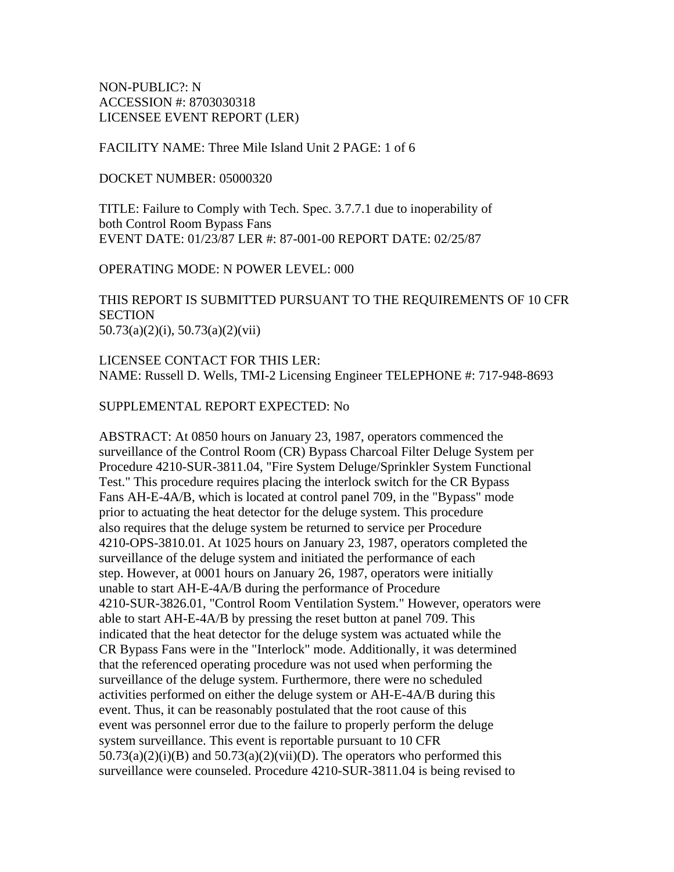NON-PUBLIC?: N ACCESSION #: 8703030318 LICENSEE EVENT REPORT (LER)

#### FACILITY NAME: Three Mile Island Unit 2 PAGE: 1 of 6

#### DOCKET NUMBER: 05000320

TITLE: Failure to Comply with Tech. Spec. 3.7.7.1 due to inoperability of both Control Room Bypass Fans EVENT DATE: 01/23/87 LER #: 87-001-00 REPORT DATE: 02/25/87

OPERATING MODE: N POWER LEVEL: 000

THIS REPORT IS SUBMITTED PURSUANT TO THE REQUIREMENTS OF 10 CFR **SECTION** 50.73(a)(2)(i), 50.73(a)(2)(vii)

LICENSEE CONTACT FOR THIS LER: NAME: Russell D. Wells, TMI-2 Licensing Engineer TELEPHONE #: 717-948-8693

## SUPPLEMENTAL REPORT EXPECTED: No

ABSTRACT: At 0850 hours on January 23, 1987, operators commenced the surveillance of the Control Room (CR) Bypass Charcoal Filter Deluge System per Procedure 4210-SUR-3811.04, "Fire System Deluge/Sprinkler System Functional Test." This procedure requires placing the interlock switch for the CR Bypass Fans AH-E-4A/B, which is located at control panel 709, in the "Bypass" mode prior to actuating the heat detector for the deluge system. This procedure also requires that the deluge system be returned to service per Procedure 4210-OPS-3810.01. At 1025 hours on January 23, 1987, operators completed the surveillance of the deluge system and initiated the performance of each step. However, at 0001 hours on January 26, 1987, operators were initially unable to start AH-E-4A/B during the performance of Procedure 4210-SUR-3826.01, "Control Room Ventilation System." However, operators were able to start AH-E-4A/B by pressing the reset button at panel 709. This indicated that the heat detector for the deluge system was actuated while the CR Bypass Fans were in the "Interlock" mode. Additionally, it was determined that the referenced operating procedure was not used when performing the surveillance of the deluge system. Furthermore, there were no scheduled activities performed on either the deluge system or AH-E-4A/B during this event. Thus, it can be reasonably postulated that the root cause of this event was personnel error due to the failure to properly perform the deluge system surveillance. This event is reportable pursuant to 10 CFR  $50.73(a)(2)(i)(B)$  and  $50.73(a)(2)(vii)(D)$ . The operators who performed this surveillance were counseled. Procedure 4210-SUR-3811.04 is being revised to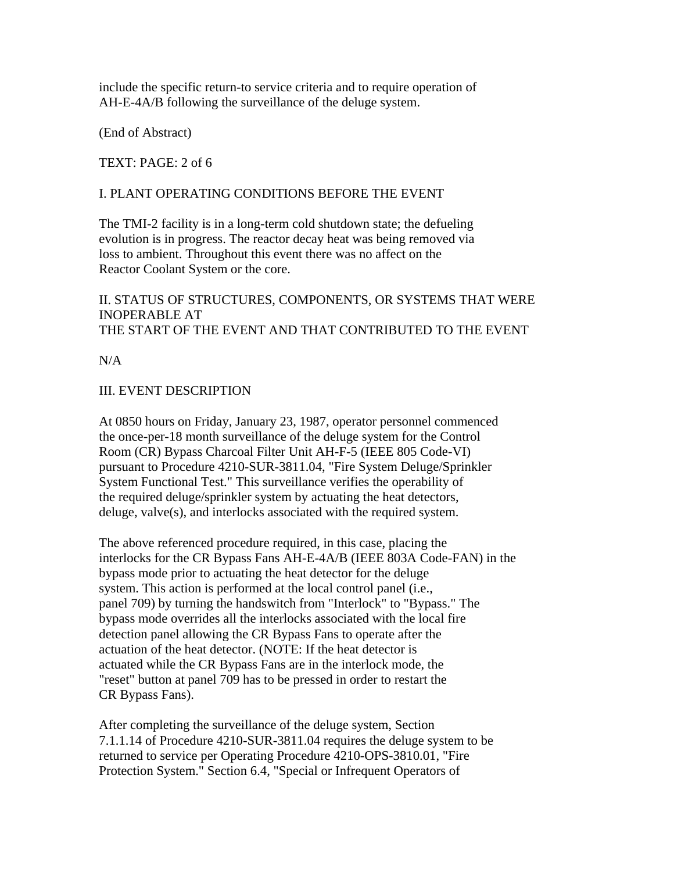include the specific return-to service criteria and to require operation of AH-E-4A/B following the surveillance of the deluge system.

(End of Abstract)

TEXT: PAGE: 2 of 6

## I. PLANT OPERATING CONDITIONS BEFORE THE EVENT

The TMI-2 facility is in a long-term cold shutdown state; the defueling evolution is in progress. The reactor decay heat was being removed via loss to ambient. Throughout this event there was no affect on the Reactor Coolant System or the core.

II. STATUS OF STRUCTURES, COMPONENTS, OR SYSTEMS THAT WERE INOPERABLE AT THE START OF THE EVENT AND THAT CONTRIBUTED TO THE EVENT

 $N/A$ 

## III. EVENT DESCRIPTION

At 0850 hours on Friday, January 23, 1987, operator personnel commenced the once-per-18 month surveillance of the deluge system for the Control Room (CR) Bypass Charcoal Filter Unit AH-F-5 (IEEE 805 Code-VI) pursuant to Procedure 4210-SUR-3811.04, "Fire System Deluge/Sprinkler System Functional Test." This surveillance verifies the operability of the required deluge/sprinkler system by actuating the heat detectors, deluge, valve(s), and interlocks associated with the required system.

The above referenced procedure required, in this case, placing the interlocks for the CR Bypass Fans AH-E-4A/B (IEEE 803A Code-FAN) in the bypass mode prior to actuating the heat detector for the deluge system. This action is performed at the local control panel (i.e., panel 709) by turning the handswitch from "Interlock" to "Bypass." The bypass mode overrides all the interlocks associated with the local fire detection panel allowing the CR Bypass Fans to operate after the actuation of the heat detector. (NOTE: If the heat detector is actuated while the CR Bypass Fans are in the interlock mode, the "reset" button at panel 709 has to be pressed in order to restart the CR Bypass Fans).

After completing the surveillance of the deluge system, Section 7.1.1.14 of Procedure 4210-SUR-3811.04 requires the deluge system to be returned to service per Operating Procedure 4210-OPS-3810.01, "Fire Protection System." Section 6.4, "Special or Infrequent Operators of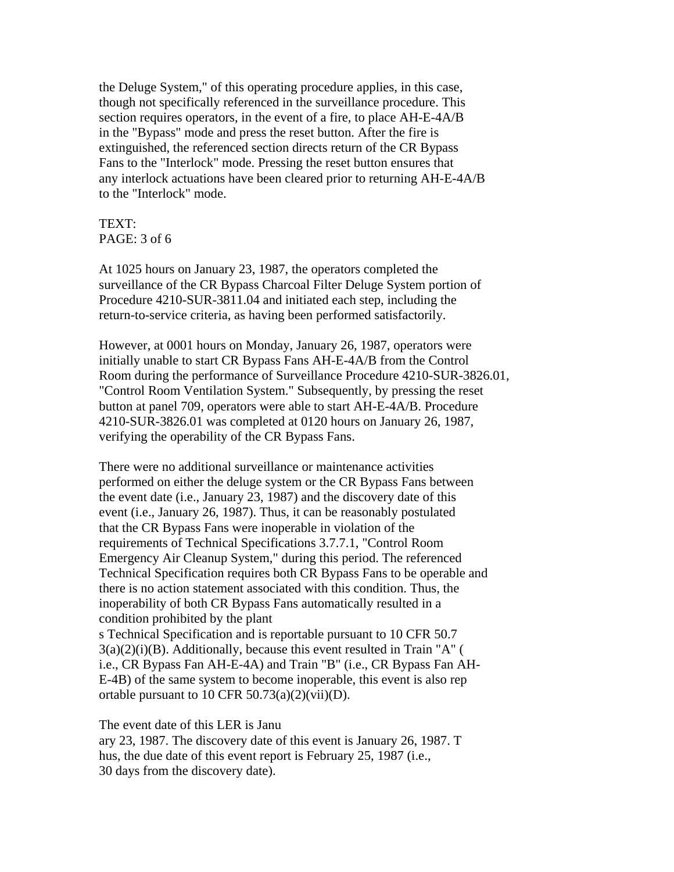the Deluge System," of this operating procedure applies, in this case, though not specifically referenced in the surveillance procedure. This section requires operators, in the event of a fire, to place AH-E-4A/B in the "Bypass" mode and press the reset button. After the fire is extinguished, the referenced section directs return of the CR Bypass Fans to the "Interlock" mode. Pressing the reset button ensures that any interlock actuations have been cleared prior to returning AH-E-4A/B to the "Interlock" mode.

# TEXT: PAGE: 3 of 6

At 1025 hours on January 23, 1987, the operators completed the surveillance of the CR Bypass Charcoal Filter Deluge System portion of Procedure 4210-SUR-3811.04 and initiated each step, including the return-to-service criteria, as having been performed satisfactorily.

However, at 0001 hours on Monday, January 26, 1987, operators were initially unable to start CR Bypass Fans AH-E-4A/B from the Control Room during the performance of Surveillance Procedure 4210-SUR-3826.01, "Control Room Ventilation System." Subsequently, by pressing the reset button at panel 709, operators were able to start AH-E-4A/B. Procedure 4210-SUR-3826.01 was completed at 0120 hours on January 26, 1987, verifying the operability of the CR Bypass Fans.

There were no additional surveillance or maintenance activities performed on either the deluge system or the CR Bypass Fans between the event date (i.e., January 23, 1987) and the discovery date of this event (i.e., January 26, 1987). Thus, it can be reasonably postulated that the CR Bypass Fans were inoperable in violation of the requirements of Technical Specifications 3.7.7.1, "Control Room Emergency Air Cleanup System," during this period. The referenced Technical Specification requires both CR Bypass Fans to be operable and there is no action statement associated with this condition. Thus, the inoperability of both CR Bypass Fans automatically resulted in a condition prohibited by the plant s Technical Specification and is reportable pursuant to 10 CFR 50.7  $3(a)(2)(i)(B)$ . Additionally, because this event resulted in Train "A" ( i.e., CR Bypass Fan AH-E-4A) and Train "B" (i.e., CR Bypass Fan AH-E-4B) of the same system to become inoperable, this event is also rep ortable pursuant to 10 CFR 50.73(a)(2)(vii)(D).

The event date of this LER is Janu

ary 23, 1987. The discovery date of this event is January 26, 1987. T hus, the due date of this event report is February 25, 1987 (i.e., 30 days from the discovery date).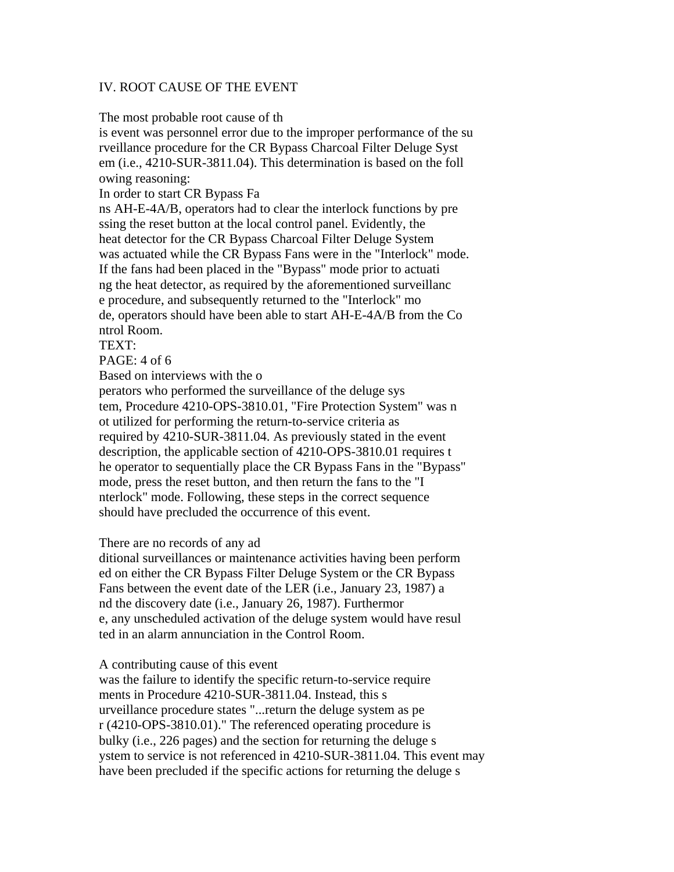### IV. ROOT CAUSE OF THE EVENT

The most probable root cause of th

is event was personnel error due to the improper performance of the su rveillance procedure for the CR Bypass Charcoal Filter Deluge Syst em (i.e., 4210-SUR-3811.04). This determination is based on the foll owing reasoning:

In order to start CR Bypass Fa

ns AH-E-4A/B, operators had to clear the interlock functions by pre ssing the reset button at the local control panel. Evidently, the heat detector for the CR Bypass Charcoal Filter Deluge System was actuated while the CR Bypass Fans were in the "Interlock" mode. If the fans had been placed in the "Bypass" mode prior to actuati ng the heat detector, as required by the aforementioned surveillanc e procedure, and subsequently returned to the "Interlock" mo de, operators should have been able to start AH-E-4A/B from the Co ntrol Room.

TEXT:

 $PAGE: 4 of 6$ 

Based on interviews with the o

perators who performed the surveillance of the deluge sys tem, Procedure 4210-OPS-3810.01, "Fire Protection System" was n ot utilized for performing the return-to-service criteria as required by 4210-SUR-3811.04. As previously stated in the event description, the applicable section of 4210-OPS-3810.01 requires t he operator to sequentially place the CR Bypass Fans in the "Bypass" mode, press the reset button, and then return the fans to the "I nterlock" mode. Following, these steps in the correct sequence should have precluded the occurrence of this event.

#### There are no records of any ad

ditional surveillances or maintenance activities having been perform ed on either the CR Bypass Filter Deluge System or the CR Bypass Fans between the event date of the LER (i.e., January 23, 1987) a nd the discovery date (i.e., January 26, 1987). Furthermor e, any unscheduled activation of the deluge system would have resul ted in an alarm annunciation in the Control Room.

A contributing cause of this event

was the failure to identify the specific return-to-service require ments in Procedure 4210-SUR-3811.04. Instead, this s urveillance procedure states "...return the deluge system as pe r (4210-OPS-3810.01)." The referenced operating procedure is bulky (i.e., 226 pages) and the section for returning the deluge s ystem to service is not referenced in 4210-SUR-3811.04. This event may have been precluded if the specific actions for returning the deluge s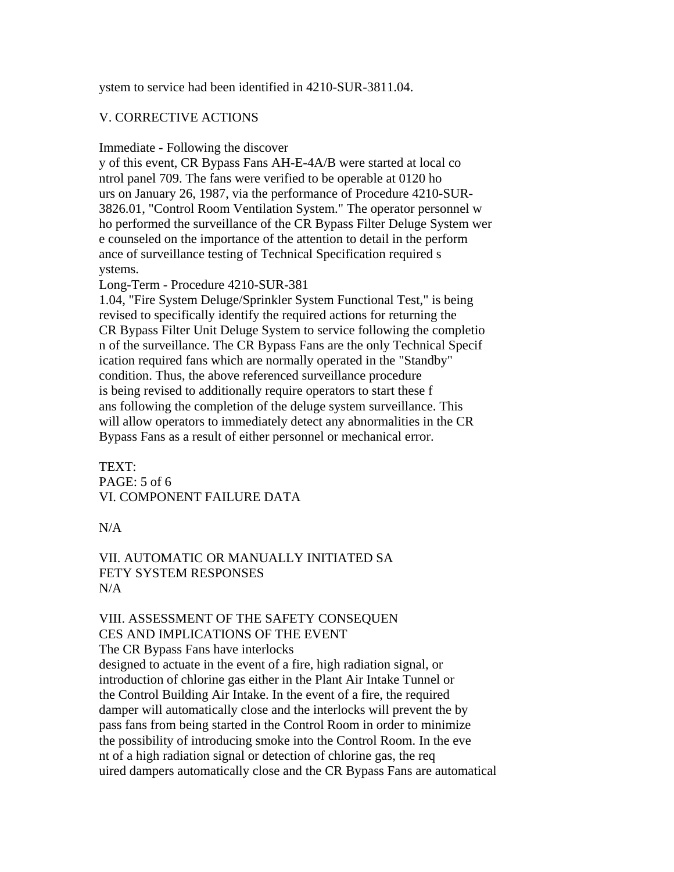ystem to service had been identified in 4210-SUR-3811.04.

# V. CORRECTIVE ACTIONS

Immediate - Following the discover

y of this event, CR Bypass Fans AH-E-4A/B were started at local co ntrol panel 709. The fans were verified to be operable at 0120 ho urs on January 26, 1987, via the performance of Procedure 4210-SUR-3826.01, "Control Room Ventilation System." The operator personnel w ho performed the surveillance of the CR Bypass Filter Deluge System wer e counseled on the importance of the attention to detail in the perform ance of surveillance testing of Technical Specification required s ystems.

Long-Term - Procedure 4210-SUR-381

1.04, "Fire System Deluge/Sprinkler System Functional Test," is being revised to specifically identify the required actions for returning the CR Bypass Filter Unit Deluge System to service following the completio n of the surveillance. The CR Bypass Fans are the only Technical Specif ication required fans which are normally operated in the "Standby" condition. Thus, the above referenced surveillance procedure is being revised to additionally require operators to start these f ans following the completion of the deluge system surveillance. This will allow operators to immediately detect any abnormalities in the CR Bypass Fans as a result of either personnel or mechanical error.

TEXT: PAGE: 5 of 6 VI. COMPONENT FAILURE DATA

N/A

### VII. AUTOMATIC OR MANUALLY INITIATED SA FETY SYSTEM RESPONSES N/A

### VIII. ASSESSMENT OF THE SAFETY CONSEQUEN CES AND IMPLICATIONS OF THE EVENT

The CR Bypass Fans have interlocks designed to actuate in the event of a fire, high radiation signal, or introduction of chlorine gas either in the Plant Air Intake Tunnel or the Control Building Air Intake. In the event of a fire, the required damper will automatically close and the interlocks will prevent the by pass fans from being started in the Control Room in order to minimize the possibility of introducing smoke into the Control Room. In the eve nt of a high radiation signal or detection of chlorine gas, the req uired dampers automatically close and the CR Bypass Fans are automatical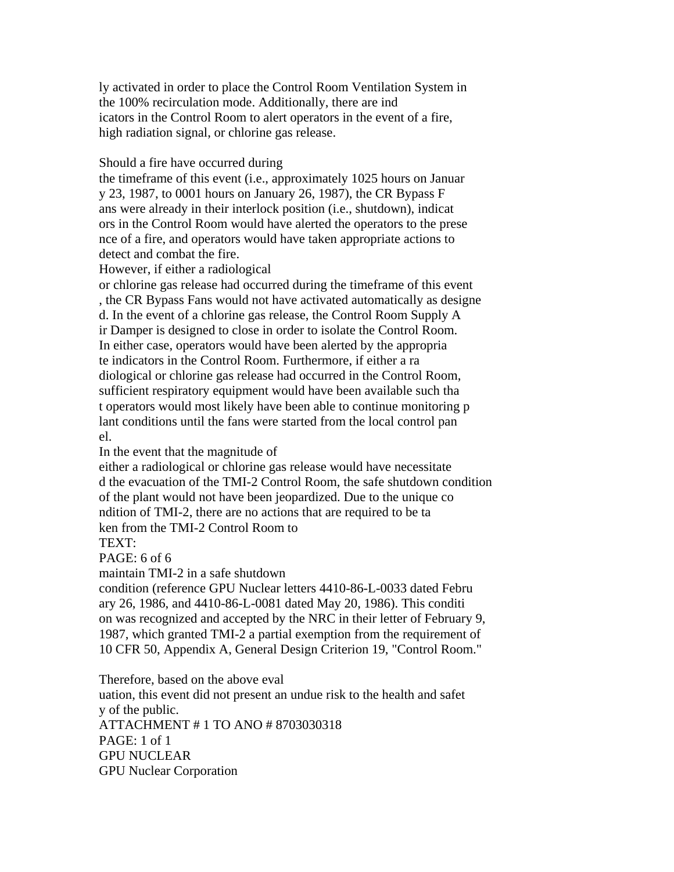ly activated in order to place the Control Room Ventilation System in the 100% recirculation mode. Additionally, there are ind icators in the Control Room to alert operators in the event of a fire, high radiation signal, or chlorine gas release.

Should a fire have occurred during

the timeframe of this event (i.e., approximately 1025 hours on Januar y 23, 1987, to 0001 hours on January 26, 1987), the CR Bypass F ans were already in their interlock position (i.e., shutdown), indicat ors in the Control Room would have alerted the operators to the prese nce of a fire, and operators would have taken appropriate actions to detect and combat the fire.

However, if either a radiological

or chlorine gas release had occurred during the timeframe of this event , the CR Bypass Fans would not have activated automatically as designe d. In the event of a chlorine gas release, the Control Room Supply A ir Damper is designed to close in order to isolate the Control Room. In either case, operators would have been alerted by the appropria te indicators in the Control Room. Furthermore, if either a ra diological or chlorine gas release had occurred in the Control Room, sufficient respiratory equipment would have been available such tha t operators would most likely have been able to continue monitoring p lant conditions until the fans were started from the local control pan el.

In the event that the magnitude of

either a radiological or chlorine gas release would have necessitate d the evacuation of the TMI-2 Control Room, the safe shutdown condition of the plant would not have been jeopardized. Due to the unique co ndition of TMI-2, there are no actions that are required to be ta ken from the TMI-2 Control Room to

TEXT:

PAGE: 6 of 6

maintain TMI-2 in a safe shutdown

condition (reference GPU Nuclear letters 4410-86-L-0033 dated Febru ary 26, 1986, and 4410-86-L-0081 dated May 20, 1986). This conditi on was recognized and accepted by the NRC in their letter of February 9, 1987, which granted TMI-2 a partial exemption from the requirement of 10 CFR 50, Appendix A, General Design Criterion 19, "Control Room."

Therefore, based on the above eval

uation, this event did not present an undue risk to the health and safet y of the public. ATTACHMENT # 1 TO ANO # 8703030318 PAGE: 1 of 1 GPU NUCLEAR GPU Nuclear Corporation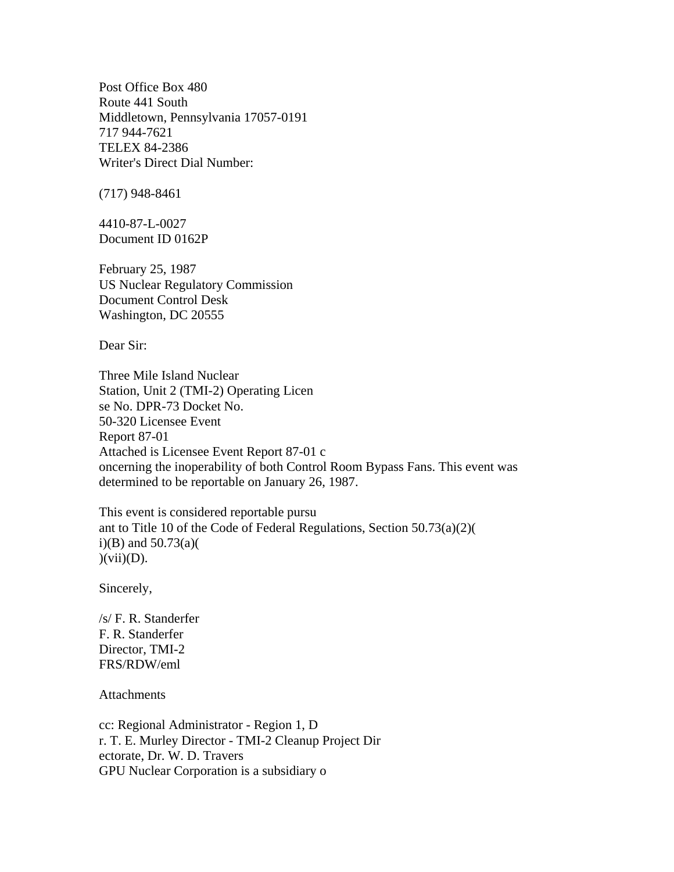Post Office Box 480 Route 441 South Middletown, Pennsylvania 17057-0191 717 944-7621 TELEX 84-2386 Writer's Direct Dial Number:

(717) 948-8461

4410-87-L-0027 Document ID 0162P

February 25, 1987 US Nuclear Regulatory Commission Document Control Desk Washington, DC 20555

Dear Sir:

Three Mile Island Nuclear Station, Unit 2 (TMI-2) Operating Licen se No. DPR-73 Docket No. 50-320 Licensee Event Report 87-01 Attached is Licensee Event Report 87-01 c oncerning the inoperability of both Control Room Bypass Fans. This event was determined to be reportable on January 26, 1987.

This event is considered reportable pursu ant to Title 10 of the Code of Federal Regulations, Section 50.73(a)(2)( i)(B) and  $50.73(a)$ (  $)(\overline{\text{vii}})(D).$ 

Sincerely,

/s/ F. R. Standerfer F. R. Standerfer Director, TMI-2 FRS/RDW/eml

**Attachments** 

cc: Regional Administrator - Region 1, D r. T. E. Murley Director - TMI-2 Cleanup Project Dir ectorate, Dr. W. D. Travers GPU Nuclear Corporation is a subsidiary o